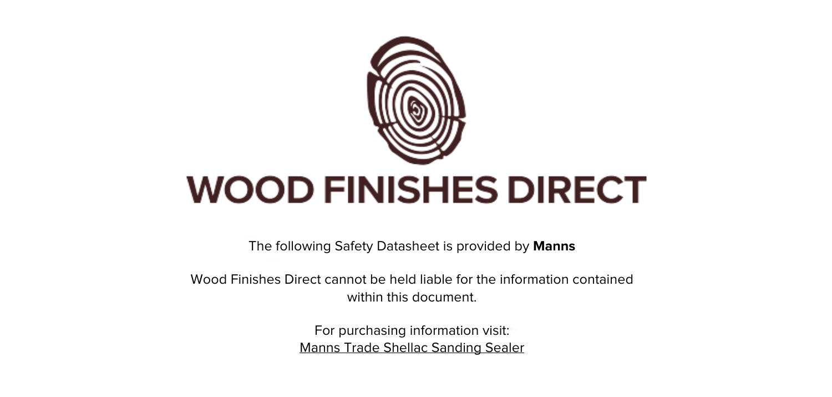

The following Safety Datasheet is provided by **Manns**

Wood Finishes Direct cannot be held liable for the information contained within this document

> For purchasing information visit: [Manns Trade Shellac Sanding Sealer](https://www.wood-finishes-direct.com/product/manns-trade-shellac-sanding-sealer)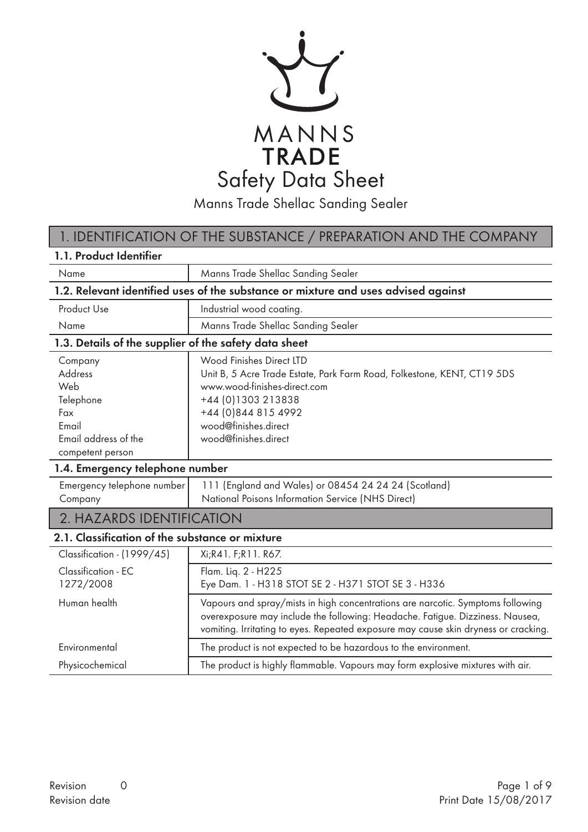

Manns Trade Shellac Sanding Sealer

## 1. IDENTIFICATION OF THE SUBSTANCE / PREPARATION AND THE COMPANY

| 1.1. Product Identifier                                                                            |                                                                                                                                                                                                                                                         |  |  |
|----------------------------------------------------------------------------------------------------|---------------------------------------------------------------------------------------------------------------------------------------------------------------------------------------------------------------------------------------------------------|--|--|
| Name                                                                                               | Manns Trade Shellac Sanding Sealer                                                                                                                                                                                                                      |  |  |
|                                                                                                    | 1.2. Relevant identified uses of the substance or mixture and uses advised against                                                                                                                                                                      |  |  |
| <b>Product Use</b>                                                                                 | Industrial wood coating.                                                                                                                                                                                                                                |  |  |
| Name                                                                                               | Manns Trade Shellac Sanding Sealer                                                                                                                                                                                                                      |  |  |
| 1.3. Details of the supplier of the safety data sheet                                              |                                                                                                                                                                                                                                                         |  |  |
| Company<br>Address<br>Web<br>Telephone<br>Fax<br>Email<br>Email address of the<br>competent person | Wood Finishes Direct LTD<br>Unit B, 5 Acre Trade Estate, Park Farm Road, Folkestone, KENT, CT19 5DS<br>www.wood-finishes-direct.com<br>+44 (0) 1303 213838<br>+44 (0)844 815 4992<br>wood@finishes.direct<br>wood@finishes.direct                       |  |  |
| 1.4. Emergency telephone number                                                                    |                                                                                                                                                                                                                                                         |  |  |
| Emergency telephone number<br>Company                                                              | 111 (England and Wales) or 08454 24 24 24 (Scotland)<br>National Poisons Information Service (NHS Direct)                                                                                                                                               |  |  |
| 2. HAZARDS IDENTIFICATION                                                                          |                                                                                                                                                                                                                                                         |  |  |
| 2.1. Classification of the substance or mixture                                                    |                                                                                                                                                                                                                                                         |  |  |
| Classification - (1999/45)                                                                         | Xi;R41. F;R11. R67.                                                                                                                                                                                                                                     |  |  |
| Classification - EC<br>1272/2008                                                                   | Flam. Liq. 2 - H225<br>Eye Dam. 1 - H318 STOT SE 2 - H371 STOT SE 3 - H336                                                                                                                                                                              |  |  |
| Human health                                                                                       | Vapours and spray/mists in high concentrations are narcotic. Symptoms following<br>overexposure may include the following: Headache. Fatigue. Dizziness. Nausea,<br>vomiting. Irritating to eyes. Repeated exposure may cause skin dryness or cracking. |  |  |
| Environmental                                                                                      | The product is not expected to be hazardous to the environment.                                                                                                                                                                                         |  |  |
| Physicochemical                                                                                    | The product is highly flammable. Vapours may form explosive mixtures with air.                                                                                                                                                                          |  |  |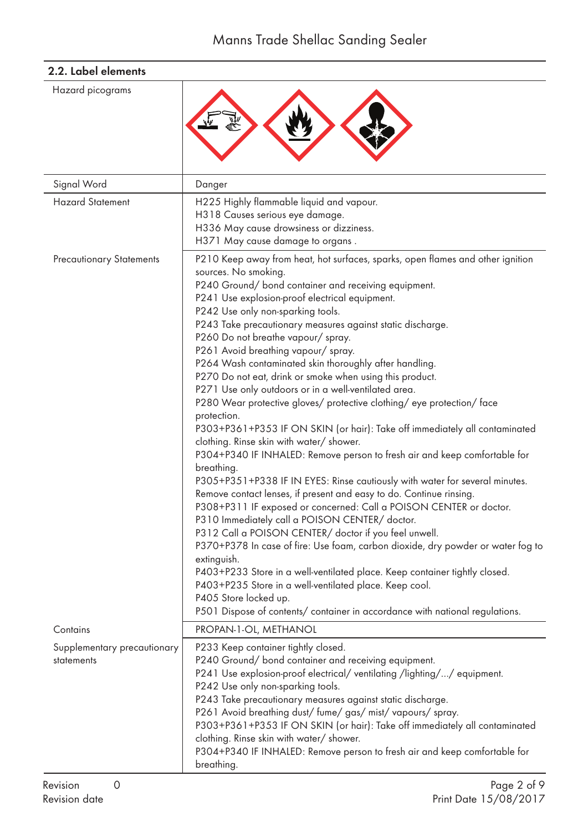| Hazard picograms                          |                                                                                                                                                                                                                                                                                                                                                                                                                                                                                                                                                                                                                                                                                                                                                                                                                                                                                                                                                                                                                                                                                                                                                                                                                                                                                                                                                                                                                                                                                                                                                                                     |
|-------------------------------------------|-------------------------------------------------------------------------------------------------------------------------------------------------------------------------------------------------------------------------------------------------------------------------------------------------------------------------------------------------------------------------------------------------------------------------------------------------------------------------------------------------------------------------------------------------------------------------------------------------------------------------------------------------------------------------------------------------------------------------------------------------------------------------------------------------------------------------------------------------------------------------------------------------------------------------------------------------------------------------------------------------------------------------------------------------------------------------------------------------------------------------------------------------------------------------------------------------------------------------------------------------------------------------------------------------------------------------------------------------------------------------------------------------------------------------------------------------------------------------------------------------------------------------------------------------------------------------------------|
| Signal Word                               | Danger                                                                                                                                                                                                                                                                                                                                                                                                                                                                                                                                                                                                                                                                                                                                                                                                                                                                                                                                                                                                                                                                                                                                                                                                                                                                                                                                                                                                                                                                                                                                                                              |
| <b>Hazard Statement</b>                   | H225 Highly flammable liquid and vapour.<br>H318 Causes serious eye damage.<br>H336 May cause drowsiness or dizziness.<br>H371 May cause damage to organs.                                                                                                                                                                                                                                                                                                                                                                                                                                                                                                                                                                                                                                                                                                                                                                                                                                                                                                                                                                                                                                                                                                                                                                                                                                                                                                                                                                                                                          |
| <b>Precautionary Statements</b>           | P210 Keep away from heat, hot surfaces, sparks, open flames and other ignition<br>sources. No smoking.<br>P240 Ground/ bond container and receiving equipment.<br>P241 Use explosion-proof electrical equipment.<br>P242 Use only non-sparking tools.<br>P243 Take precautionary measures against static discharge.<br>P260 Do not breathe vapour/spray.<br>P261 Avoid breathing vapour/spray.<br>P264 Wash contaminated skin thoroughly after handling.<br>P270 Do not eat, drink or smoke when using this product.<br>P271 Use only outdoors or in a well-ventilated area.<br>P280 Wear protective gloves/ protective clothing/ eye protection/ face<br>protection.<br>P303+P361+P353 IF ON SKIN (or hair): Take off immediately all contaminated<br>clothing. Rinse skin with water/shower.<br>P304+P340 IF INHALED: Remove person to fresh air and keep comfortable for<br>breathing.<br>P305+P351+P338 IF IN EYES: Rinse cautiously with water for several minutes.<br>Remove contact lenses, if present and easy to do. Continue rinsing.<br>P308+P311 IF exposed or concerned: Call a POISON CENTER or doctor.<br>P310 Immediately call a POISON CENTER/ doctor.<br>P312 Call a POISON CENTER/ doctor if you feel unwell.<br>P370+P378 In case of fire: Use foam, carbon dioxide, dry powder or water fog to<br>extinguish.<br>P403+P233 Store in a well-ventilated place. Keep container tightly closed.<br>P403+P235 Store in a well-ventilated place. Keep cool.<br>P405 Store locked up.<br>P501 Dispose of contents/ container in accordance with national regulations. |
| Contains                                  | PROPAN-1-OL, METHANOL                                                                                                                                                                                                                                                                                                                                                                                                                                                                                                                                                                                                                                                                                                                                                                                                                                                                                                                                                                                                                                                                                                                                                                                                                                                                                                                                                                                                                                                                                                                                                               |
| Supplementary precautionary<br>statements | P233 Keep container tightly closed.<br>P240 Ground/ bond container and receiving equipment.<br>P241 Use explosion-proof electrical/ventilating /lighting//equipment.<br>P242 Use only non-sparking tools.<br>P243 Take precautionary measures against static discharge.<br>P261 Avoid breathing dust/fume/gas/mist/vapours/spray.<br>P303+P361+P353 IF ON SKIN (or hair): Take off immediately all contaminated<br>clothing. Rinse skin with water/ shower.<br>P304+P340 IF INHALED: Remove person to fresh air and keep comfortable for<br>breathing.                                                                                                                                                                                                                                                                                                                                                                                                                                                                                                                                                                                                                                                                                                                                                                                                                                                                                                                                                                                                                              |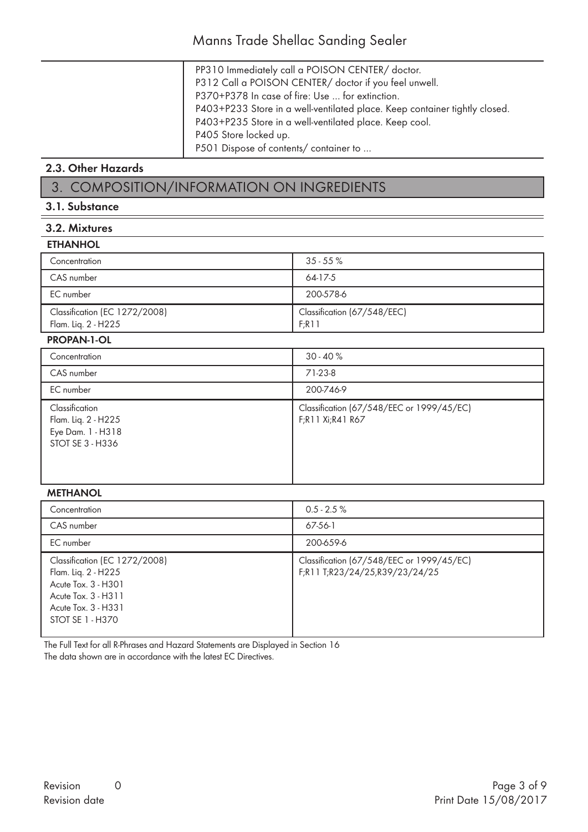- PP310 Immediately call a POISON CENTER/ doctor.
- P312 Call a POISON CENTER/ doctor if you feel unwell.
- P370+P378 In case of fire: Use … for extinction.
- P403+P233 Store in a well-ventilated place. Keep container tightly closed.
- P403+P235 Store in a well-ventilated place. Keep cool.
- P405 Store locked up.

P501 Dispose of contents/ container to …

### 2.3. Other Hazards

## 3. COMPOSITION/INFORMATION ON INGREDIENTS

### 3.1. Substance

## 3.2. Mixtures

#### **ETHANHOL**

| Concentration                                        | $35 - 55\%$                          |
|------------------------------------------------------|--------------------------------------|
| CAS number                                           | 64-17-5                              |
| EC number                                            | 200-578-6                            |
| Classification (EC 1272/2008)<br>Flam. Lig. 2 - H225 | Classification (67/548/EEC)<br>F:R11 |

#### PROPAN-1-OL

| Concentration                                                                  | $30 - 40 \%$                                                  |
|--------------------------------------------------------------------------------|---------------------------------------------------------------|
| CAS number                                                                     | 71-23-8                                                       |
| EC number                                                                      | 200-746-9                                                     |
| Classification<br>Flam. Liq. 2 - H225<br>Eye Dam. 1 - H318<br>STOT SE 3 - H336 | Classification (67/548/EEC or 1999/45/EC)<br>F;R11 Xi;R41 R67 |

### METHANOL

| Concentration                                                                                                                                 | $0.5 - 2.5 \%$                                                              |
|-----------------------------------------------------------------------------------------------------------------------------------------------|-----------------------------------------------------------------------------|
| CAS number                                                                                                                                    | $67-56-1$                                                                   |
| EC number                                                                                                                                     | 200-659-6                                                                   |
| Classification (EC 1272/2008)<br>Flam. Lig. 2 - H225<br>Acute Tox. 3 - H301<br>Acute Tox. 3 - H311<br>Acute Tox. 3 - H331<br>STOT SE 1 - H370 | Classification (67/548/EEC or 1999/45/EC)<br>F;R11 T;R23/24/25,R39/23/24/25 |

The Full Text for all R-Phrases and Hazard Statements are Displayed in Section 16 The data shown are in accordance with the latest EC Directives.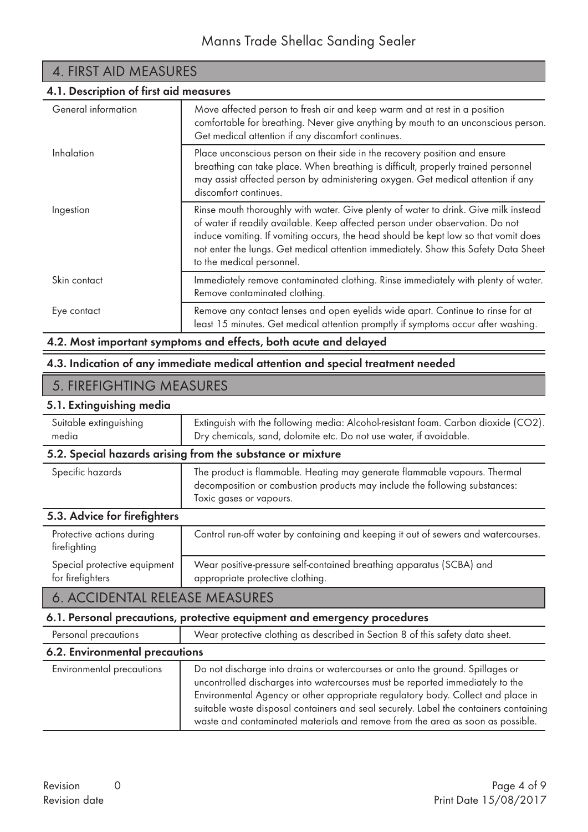| 4. FIRST AID MEASURES                  |                                                                                                                                                                                                                                                                                                                                                                                 |  |
|----------------------------------------|---------------------------------------------------------------------------------------------------------------------------------------------------------------------------------------------------------------------------------------------------------------------------------------------------------------------------------------------------------------------------------|--|
| 4.1. Description of first aid measures |                                                                                                                                                                                                                                                                                                                                                                                 |  |
| General information                    | Move affected person to fresh air and keep warm and at rest in a position<br>comfortable for breathing. Never give anything by mouth to an unconscious person.<br>Get medical attention if any discomfort continues.                                                                                                                                                            |  |
| Inhalation                             | Place unconscious person on their side in the recovery position and ensure<br>breathing can take place. When breathing is difficult, properly trained personnel<br>may assist affected person by administering oxygen. Get medical attention if any<br>discomfort continues.                                                                                                    |  |
| Ingestion                              | Rinse mouth thoroughly with water. Give plenty of water to drink. Give milk instead<br>of water if readily available. Keep affected person under observation. Do not<br>induce vomiting. If vomiting occurs, the head should be kept low so that vomit does<br>not enter the lungs. Get medical attention immediately. Show this Safety Data Sheet<br>to the medical personnel. |  |
| Skin contact                           | Immediately remove contaminated clothing. Rinse immediately with plenty of water.<br>Remove contaminated clothing.                                                                                                                                                                                                                                                              |  |
| Eye contact                            | Remove any contact lenses and open eyelids wide apart. Continue to rinse for at<br>least 15 minutes. Get medical attention promptly if symptoms occur after washing.                                                                                                                                                                                                            |  |

## 4.2. Most important symptoms and effects, both acute and delayed

### 4.3. Indication of any immediate medical attention and special treatment needed

## 5. FIREFIGHTING MEASURES

### 5.1. Extinguishing media

| Suitable extinguishing<br>media                  | Extinguish with the following media: Alcohol-resistant foam. Carbon dioxide (CO2).<br>Dry chemicals, sand, dolomite etc. Do not use water, if avoidable.                           |  |  |  |
|--------------------------------------------------|------------------------------------------------------------------------------------------------------------------------------------------------------------------------------------|--|--|--|
|                                                  | 5.2. Special hazards arising from the substance or mixture                                                                                                                         |  |  |  |
| Specific hazards                                 | The product is flammable. Heating may generate flammable vapours. Thermal<br>decomposition or combustion products may include the following substances:<br>Toxic gases or vapours. |  |  |  |
| 5.3. Advice for firefighters                     |                                                                                                                                                                                    |  |  |  |
| Protective actions during<br>firefighting        | Control run-off water by containing and keeping it out of sewers and watercourses.                                                                                                 |  |  |  |
| Special protective equipment<br>for firefighters | Wear positive-pressure self-contained breathing apparatus (SCBA) and<br>appropriate protective clothing.                                                                           |  |  |  |
| 6. ACCIDENTAL RELEASE MEASURES                   |                                                                                                                                                                                    |  |  |  |
|                                                  | 6.1. Personal precautions, protective equipment and emergency procedures                                                                                                           |  |  |  |
| Personal precautions                             | Wear protective clothing as described in Section 8 of this safety data sheet.                                                                                                      |  |  |  |
| 6.2. Environmental precautions                   |                                                                                                                                                                                    |  |  |  |
|                                                  | the contract of the contract of the<br>$\sim$ $\sim$                                                                                                                               |  |  |  |

| Environmental precautions | Do not discharge into drains or watercourses or onto the ground. Spillages or<br>uncontrolled discharges into watercourses must be reported immediately to the<br>Environmental Agency or other appropriate regulatory body. Collect and place in<br>suitable waste disposal containers and seal securely. Label the containers containing<br>waste and contaminated materials and remove from the area as soon as possible. |
|---------------------------|------------------------------------------------------------------------------------------------------------------------------------------------------------------------------------------------------------------------------------------------------------------------------------------------------------------------------------------------------------------------------------------------------------------------------|
|                           |                                                                                                                                                                                                                                                                                                                                                                                                                              |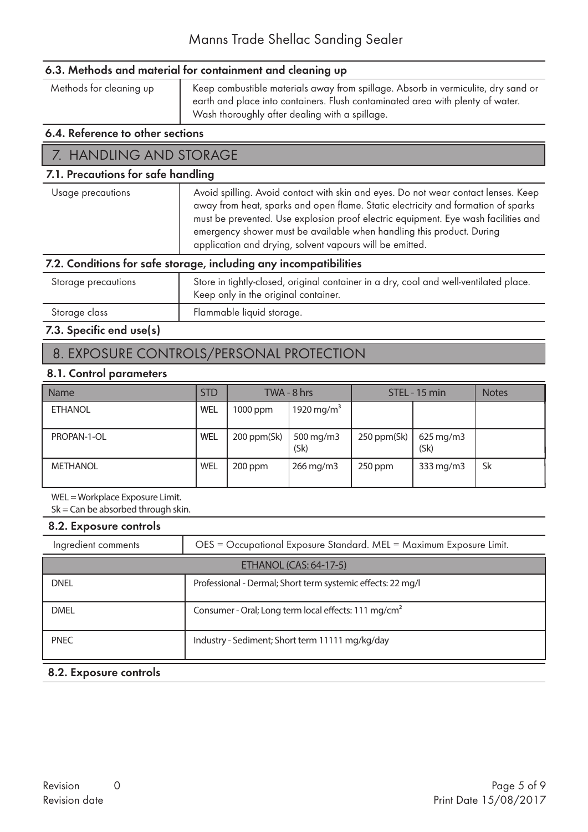### 6.3. Methods and material for containment and cleaning up

Methods for cleaning up | Keep combustible materials away from spillage. Absorb in vermiculite, dry sand or earth and place into containers. Flush contaminated area with plenty of water. Wash thoroughly after dealing with a spillage.

#### 6.4. Reference to other sections

### 7. HANDLING AND STORAGE

### 7.1. Precautions for safe handling

| Usage precautions | Avoid spilling. Avoid contact with skin and eyes. Do not wear contact lenses. Keep<br>away from heat, sparks and open flame. Static electricity and formation of sparks<br>must be prevented. Use explosion proof electric equipment. Eye wash facilities and |
|-------------------|---------------------------------------------------------------------------------------------------------------------------------------------------------------------------------------------------------------------------------------------------------------|
|                   | emergency shower must be available when handling this product. During<br>application and drying, solvent vapours will be emitted.                                                                                                                             |
|                   | 7.2. Conditions for safe storage, including any incompatibilities                                                                                                                                                                                             |
|                   |                                                                                                                                                                                                                                                               |

| Storage precautions | Store in tightly-closed, original container in a dry, cool and well-ventilated place.<br>Keep only in the original container. |
|---------------------|-------------------------------------------------------------------------------------------------------------------------------|
| Storage class       | Flammable liquid storage.                                                                                                     |

### 7.3. Specific end use(s)

## 8. EXPOSURE CONTROLS/PERSONAL PROTECTION

### 8.1. Control parameters

| <b>Name</b>     | <b>STD</b> |             | TWA - 8 hrs            |             | STEL - 15 min                  | <b>Notes</b> |
|-----------------|------------|-------------|------------------------|-------------|--------------------------------|--------------|
| <b>ETHANOL</b>  | WEL        | 1000 ppm    | 1920 mg/m <sup>3</sup> |             |                                |              |
| PROPAN-1-OL     | WEL        | 200 ppm(Sk) | 500 mg/m3<br>(Sk)      | 250 ppm(Sk) | $625 \,\mathrm{mg/m3}$<br>(Sk) |              |
| <b>METHANOL</b> | WEL        | 200 ppm     | $266$ mg/m $3$         | $250$ ppm   | 333 mg/m3                      | <b>Sk</b>    |

WEL = Workplace Exposure Limit.

 $Sk = Can be absorbed through skin.$ 

### 8.2. Exposure controls

| Ingredient comments           | OES = Occupational Exposure Standard. MEL = Maximum Exposure Limit. |  |  |  |
|-------------------------------|---------------------------------------------------------------------|--|--|--|
| <b>ETHANOL (CAS: 64-17-5)</b> |                                                                     |  |  |  |
| <b>DNEL</b>                   | Professional - Dermal; Short term systemic effects: 22 mg/l         |  |  |  |
| <b>DMEL</b>                   | Consumer - Oral; Long term local effects: 111 mg/cm <sup>2</sup>    |  |  |  |
| <b>PNEC</b>                   | Industry - Sediment; Short term 11111 mg/kg/day                     |  |  |  |

#### 8.2. Exposure controls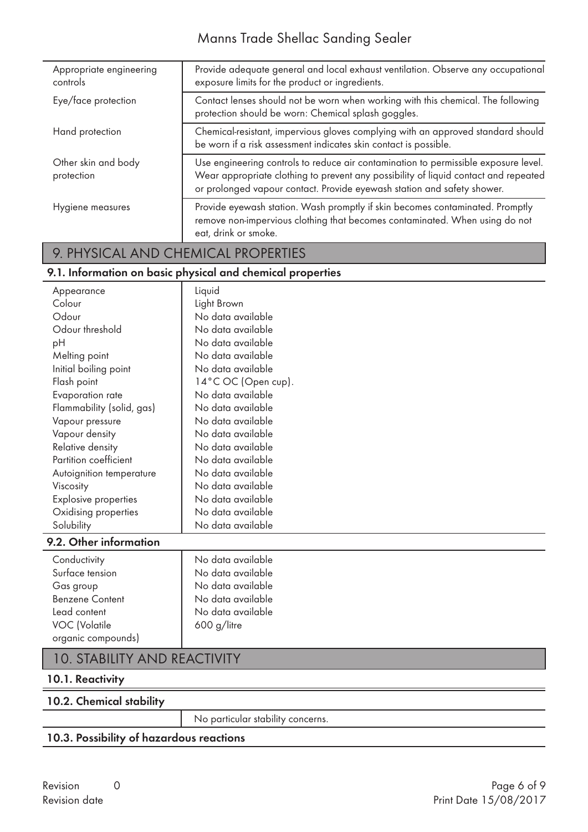## Manns Trade Shellac Sanding Sealer

| Appropriate engineering<br>controls | Provide adequate general and local exhaust ventilation. Observe any occupational<br>exposure limits for the product or ingredients.                                                                                                                   |
|-------------------------------------|-------------------------------------------------------------------------------------------------------------------------------------------------------------------------------------------------------------------------------------------------------|
| Eye/face protection                 | Contact lenses should not be worn when working with this chemical. The following<br>protection should be worn: Chemical splash goggles.                                                                                                               |
| Hand protection                     | Chemical-resistant, impervious gloves complying with an approved standard should<br>be worn if a risk assessment indicates skin contact is possible.                                                                                                  |
| Other skin and body<br>protection   | Use engineering controls to reduce air contamination to permissible exposure level.<br>Wear appropriate clothing to prevent any possibility of liquid contact and repeated<br>or prolonged vapour contact. Provide eyewash station and safety shower. |
| Hygiene measures                    | Provide eyewash station. Wash promptly if skin becomes contaminated. Promptly<br>remove non-impervious clothing that becomes contaminated. When using do not<br>eat, drink or smoke.                                                                  |

# 9. PHYSICAL AND CHEMICAL PROPERTIES

### 9.1. Information on basic physical and chemical properties

| Appearance                  | Liquid              |
|-----------------------------|---------------------|
| Colour                      | Light Brown         |
| Odour                       | No data available   |
| Odour threshold             | No data available   |
| pH                          | No data available   |
| Melting point               | No data available   |
| Initial boiling point       | No data available   |
| Flash point                 | 14°C OC (Open cup). |
| Evaporation rate            | No data available   |
| Flammability (solid, gas)   | No data available   |
| Vapour pressure             | No data available   |
| Vapour density              | No data available   |
| Relative density            | No data available   |
| Partition coefficient       | No data available   |
| Autoignition temperature    | No data available   |
| Viscosity                   | No data available   |
| <b>Explosive properties</b> | No data available   |
| Oxidising properties        | No data available   |
| Solubility                  | No data available   |
| 9.2. Other information      |                     |
| Conductivity                | No data available   |
| Surface tension             | No data available   |
| Gas group                   | No data available   |
| <b>Benzene Content</b>      | No data available   |
| Lead content                | No data available   |

## 10. STABILITY AND REACTIVITY

VOC (Volatile  $\begin{array}{|c|c|c|c|c|} \hline \end{array}$  600 g/litre

### 10.1. Reactivity

organic compounds)

### 10.2. Chemical stability

No particular stability concerns.

### 10.3. Possibility of hazardous reactions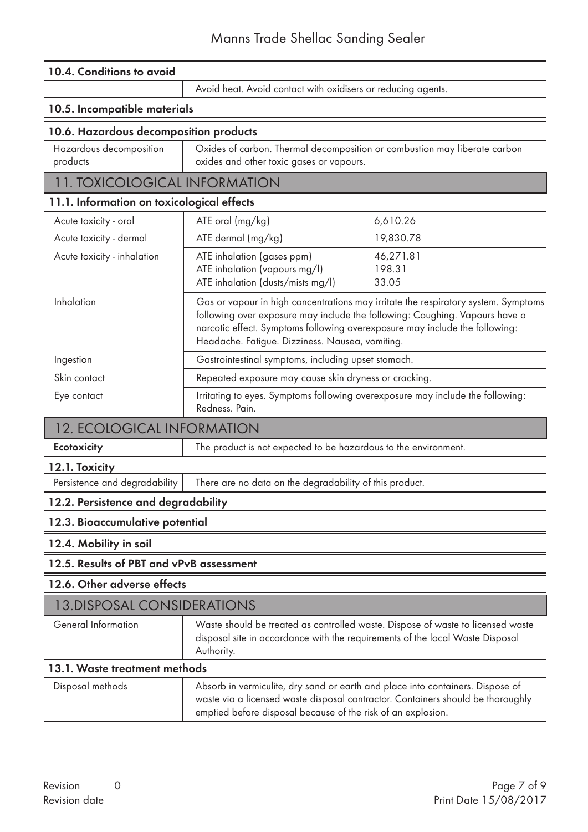### 10.4. Conditions to avoid

Avoid heat. Avoid contact with oxidisers or reducing agents.

### 10.5. Incompatible materials

### 10.6. Hazardous decomposition products

| Hazardous decomposition | Oxides of carbon. Thermal decomposition or combustion may liberate carbon |
|-------------------------|---------------------------------------------------------------------------|
| products                | oxides and other toxic gases or vapours.                                  |

### 11. TOXICOLOGICAL INFORMATION

### 11.1. Information on toxicological effects

| Acute toxicity - oral       | ATE oral (mg/kg)                                                                                                                                                                                              | 6,610.26                                                                           |
|-----------------------------|---------------------------------------------------------------------------------------------------------------------------------------------------------------------------------------------------------------|------------------------------------------------------------------------------------|
| Acute toxicity - dermal     | ATE dermal (mg/kg)                                                                                                                                                                                            | 19,830.78                                                                          |
| Acute toxicity - inhalation | ATE inhalation (gases ppm)                                                                                                                                                                                    | 46,271.81                                                                          |
|                             | ATE inhalation (vapours mg/l)                                                                                                                                                                                 | 198.31                                                                             |
|                             | ATE inhalation (dusts/mists mg/l)                                                                                                                                                                             | 33.05                                                                              |
| Inhalation                  | following over exposure may include the following: Coughing. Vapours have a<br>narcotic effect. Symptoms following overexposure may include the following:<br>Headache. Fatigue. Dizziness. Nausea, vomiting. | Gas or vapour in high concentrations may irritate the respiratory system. Symptoms |
| Ingestion                   | Gastrointestinal symptoms, including upset stomach.                                                                                                                                                           |                                                                                    |
| Skin contact                | Repeated exposure may cause skin dryness or cracking.                                                                                                                                                         |                                                                                    |
| Eye contact                 | Irritating to eyes. Symptoms following overexposure may include the following:<br>Redness. Pain.                                                                                                              |                                                                                    |

### 12. ECOLOGICAL INFORMATION

Ecotoxicity The product is not expected to be hazardous to the environment.

## 12.1. Toxicity

Persistence and degradability There are no data on the degradability of this product.

### 12.2. Persistence and degradability

### 12.3. Bioaccumulative potential

#### 12.4. Mobility in soil

### 12.5. Results of PBT and vPvB assessment

#### 12.6. Other adverse effects

| 13. DISPOSAL CONSIDERATIONS |                                                                                                                                                                                |
|-----------------------------|--------------------------------------------------------------------------------------------------------------------------------------------------------------------------------|
| General Information         | Waste should be treated as controlled waste. Dispose of waste to licensed waste<br>disposal site in accordance with the requirements of the local Waste Disposal<br>Authority. |
| 101W II                     |                                                                                                                                                                                |

### 13.1. Waste treatment methods

| Disposal methods | Absorb in vermiculite, dry sand or earth and place into containers. Dispose of<br>waste via a licensed waste disposal contractor. Containers should be thoroughly<br>emptied before disposal because of the risk of an explosion. |
|------------------|-----------------------------------------------------------------------------------------------------------------------------------------------------------------------------------------------------------------------------------|
|------------------|-----------------------------------------------------------------------------------------------------------------------------------------------------------------------------------------------------------------------------------|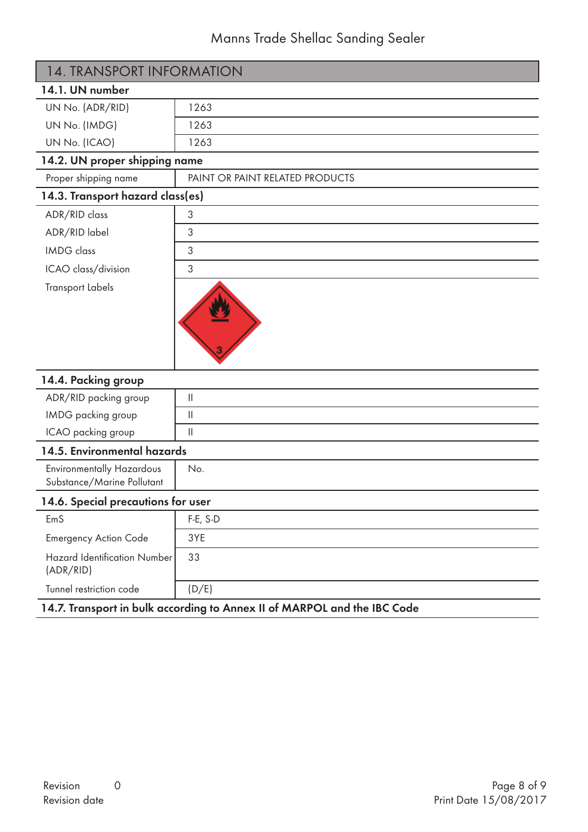# Manns Trade Shellac Sanding Sealer

| 14.1. UN number<br>UN No. (ADR/RID)<br>1263<br>UN No. (IMDG)<br>1263<br>UN No. (ICAO)<br>1263<br>14.2. UN proper shipping name<br>Proper shipping name<br>PAINT OR PAINT RELATED PRODUCTS<br>14.3. Transport hazard class(es)<br>ADR/RID class<br>3<br>ADR/RID label<br>3<br><b>IMDG</b> class<br>3<br>3<br>ICAO class/division<br><b>Transport Labels</b><br>14.4. Packing group<br>ADR/RID packing group<br>$\mathcal{L}^{\text{max}}_{\text{max}}$<br>IMDG packing group<br>$\vert\vert$<br>ICAO packing group<br>$\begin{array}{c} \hline \end{array}$<br>14.5. Environmental hazards<br><b>Environmentally Hazardous</b><br>No.<br>Substance/Marine Pollutant | <b>14. TRANSPORT INFORMATION</b> |  |
|--------------------------------------------------------------------------------------------------------------------------------------------------------------------------------------------------------------------------------------------------------------------------------------------------------------------------------------------------------------------------------------------------------------------------------------------------------------------------------------------------------------------------------------------------------------------------------------------------------------------------------------------------------------------|----------------------------------|--|
|                                                                                                                                                                                                                                                                                                                                                                                                                                                                                                                                                                                                                                                                    |                                  |  |
|                                                                                                                                                                                                                                                                                                                                                                                                                                                                                                                                                                                                                                                                    |                                  |  |
|                                                                                                                                                                                                                                                                                                                                                                                                                                                                                                                                                                                                                                                                    |                                  |  |
|                                                                                                                                                                                                                                                                                                                                                                                                                                                                                                                                                                                                                                                                    |                                  |  |
|                                                                                                                                                                                                                                                                                                                                                                                                                                                                                                                                                                                                                                                                    |                                  |  |
|                                                                                                                                                                                                                                                                                                                                                                                                                                                                                                                                                                                                                                                                    |                                  |  |
|                                                                                                                                                                                                                                                                                                                                                                                                                                                                                                                                                                                                                                                                    |                                  |  |
|                                                                                                                                                                                                                                                                                                                                                                                                                                                                                                                                                                                                                                                                    |                                  |  |
|                                                                                                                                                                                                                                                                                                                                                                                                                                                                                                                                                                                                                                                                    |                                  |  |
|                                                                                                                                                                                                                                                                                                                                                                                                                                                                                                                                                                                                                                                                    |                                  |  |
|                                                                                                                                                                                                                                                                                                                                                                                                                                                                                                                                                                                                                                                                    |                                  |  |
|                                                                                                                                                                                                                                                                                                                                                                                                                                                                                                                                                                                                                                                                    |                                  |  |
|                                                                                                                                                                                                                                                                                                                                                                                                                                                                                                                                                                                                                                                                    |                                  |  |
|                                                                                                                                                                                                                                                                                                                                                                                                                                                                                                                                                                                                                                                                    |                                  |  |
|                                                                                                                                                                                                                                                                                                                                                                                                                                                                                                                                                                                                                                                                    |                                  |  |
|                                                                                                                                                                                                                                                                                                                                                                                                                                                                                                                                                                                                                                                                    |                                  |  |
|                                                                                                                                                                                                                                                                                                                                                                                                                                                                                                                                                                                                                                                                    |                                  |  |
|                                                                                                                                                                                                                                                                                                                                                                                                                                                                                                                                                                                                                                                                    |                                  |  |
| 14.6. Special precautions for user                                                                                                                                                                                                                                                                                                                                                                                                                                                                                                                                                                                                                                 |                                  |  |
| F-E, S-D<br>EmS                                                                                                                                                                                                                                                                                                                                                                                                                                                                                                                                                                                                                                                    |                                  |  |
| <b>Emergency Action Code</b><br>3YE                                                                                                                                                                                                                                                                                                                                                                                                                                                                                                                                                                                                                                |                                  |  |
| <b>Hazard Identification Number</b><br>33<br>(ADR/RID)                                                                                                                                                                                                                                                                                                                                                                                                                                                                                                                                                                                                             |                                  |  |
| (D/E)<br>Tunnel restriction code                                                                                                                                                                                                                                                                                                                                                                                                                                                                                                                                                                                                                                   |                                  |  |

### 14.7. Transport in bulk according to Annex II of MARPOL and the IBC Code